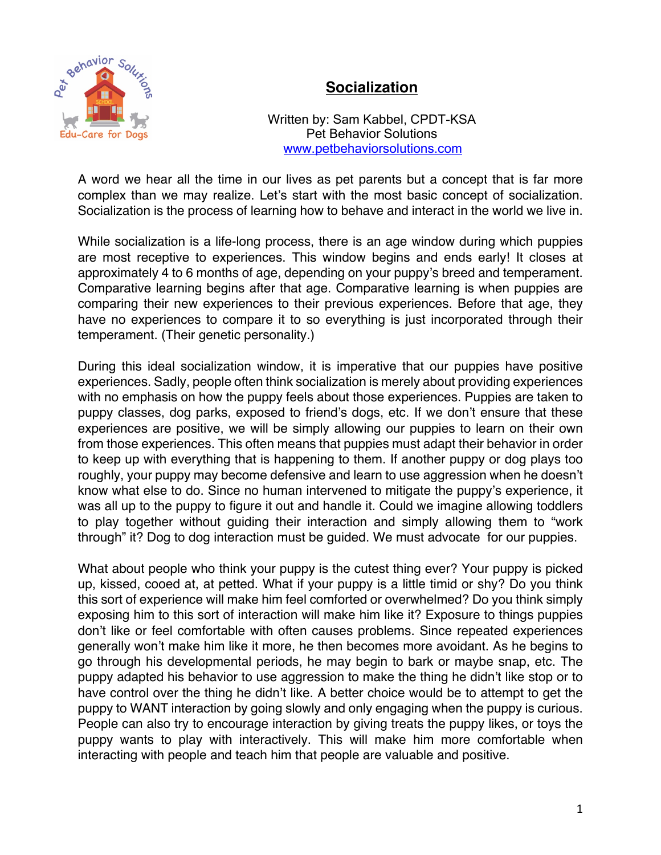

## **Socialization**

Written by: Sam Kabbel, CPDT-KSA Pet Behavior Solutions www.petbehaviorsolutions.com

A word we hear all the time in our lives as pet parents but a concept that is far more complex than we may realize. Let's start with the most basic concept of socialization. Socialization is the process of learning how to behave and interact in the world we live in.

While socialization is a life-long process, there is an age window during which puppies are most receptive to experiences. This window begins and ends early! It closes at approximately 4 to 6 months of age, depending on your puppy's breed and temperament. Comparative learning begins after that age. Comparative learning is when puppies are comparing their new experiences to their previous experiences. Before that age, they have no experiences to compare it to so everything is just incorporated through their temperament. (Their genetic personality.)

During this ideal socialization window, it is imperative that our puppies have positive experiences. Sadly, people often think socialization is merely about providing experiences with no emphasis on how the puppy feels about those experiences. Puppies are taken to puppy classes, dog parks, exposed to friend's dogs, etc. If we don't ensure that these experiences are positive, we will be simply allowing our puppies to learn on their own from those experiences. This often means that puppies must adapt their behavior in order to keep up with everything that is happening to them. If another puppy or dog plays too roughly, your puppy may become defensive and learn to use aggression when he doesn't know what else to do. Since no human intervened to mitigate the puppy's experience, it was all up to the puppy to figure it out and handle it. Could we imagine allowing toddlers to play together without guiding their interaction and simply allowing them to "work through" it? Dog to dog interaction must be guided. We must advocate for our puppies.

What about people who think your puppy is the cutest thing ever? Your puppy is picked up, kissed, cooed at, at petted. What if your puppy is a little timid or shy? Do you think this sort of experience will make him feel comforted or overwhelmed? Do you think simply exposing him to this sort of interaction will make him like it? Exposure to things puppies don't like or feel comfortable with often causes problems. Since repeated experiences generally won't make him like it more, he then becomes more avoidant. As he begins to go through his developmental periods, he may begin to bark or maybe snap, etc. The puppy adapted his behavior to use aggression to make the thing he didn't like stop or to have control over the thing he didn't like. A better choice would be to attempt to get the puppy to WANT interaction by going slowly and only engaging when the puppy is curious. People can also try to encourage interaction by giving treats the puppy likes, or toys the puppy wants to play with interactively. This will make him more comfortable when interacting with people and teach him that people are valuable and positive.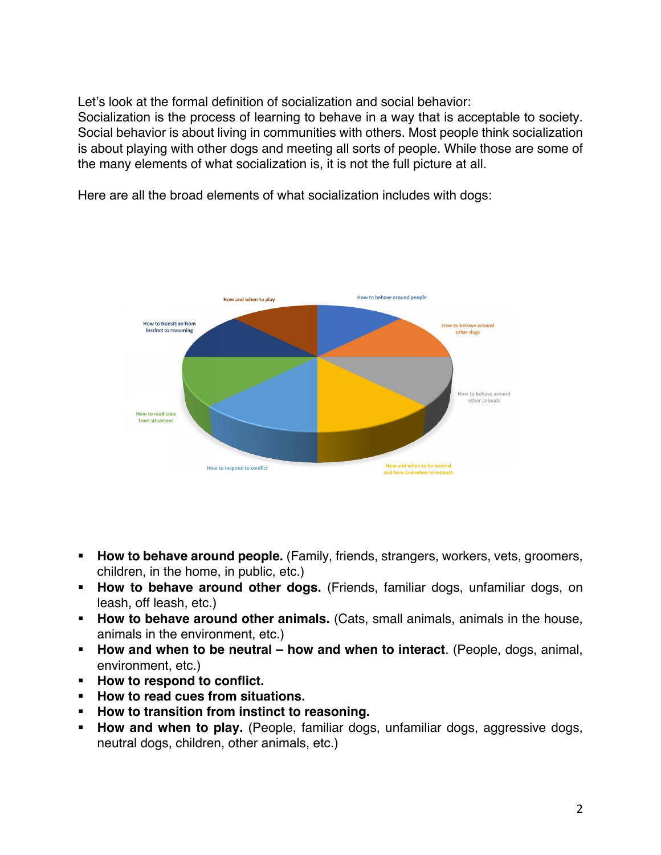Let's look at the formal definition of socialization and social behavior:

Socialization is the process of learning to behave in a way that is acceptable to society. Social behavior is about living in communities with others. Most people think socialization is about playing with other dogs and meeting all sorts of people. While those are some of the many elements of what socialization is, it is not the full picture at all.

Here are all the broad elements of what socialization includes with dogs:



- § **How to behave around people.** (Family, friends, strangers, workers, vets, groomers, children, in the home, in public, etc.)
- § **How to behave around other dogs.** (Friends, familiar dogs, unfamiliar dogs, on leash, off leash, etc.)
- **How to behave around other animals.** (Cats, small animals, animals in the house, animals in the environment, etc.)
- § **How and when to be neutral – how and when to interact**. (People, dogs, animal, environment, etc.)
- § **How to respond to conflict.**
- § **How to read cues from situations.**
- § **How to transition from instinct to reasoning.**
- **How and when to play.** (People, familiar dogs, unfamiliar dogs, aggressive dogs, neutral dogs, children, other animals, etc.)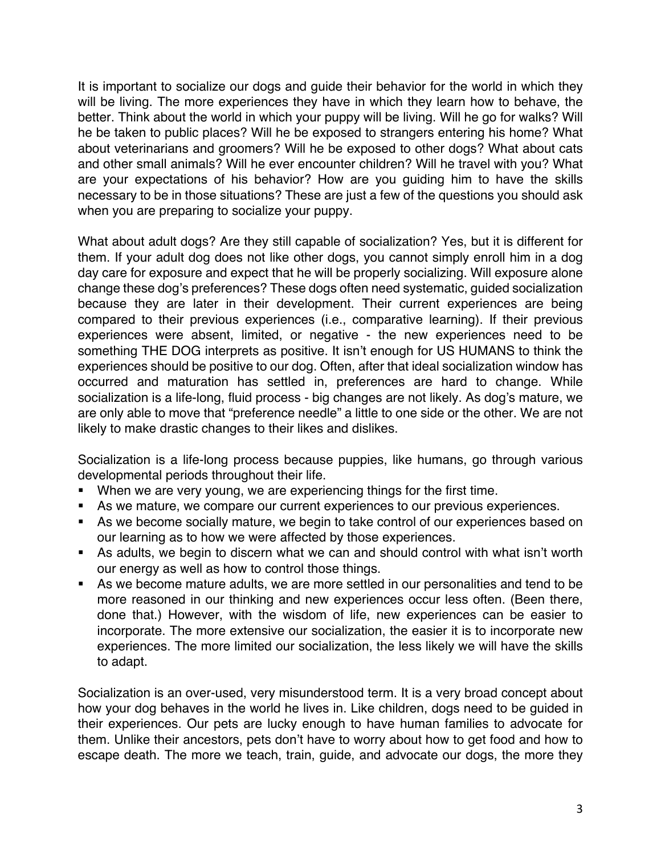It is important to socialize our dogs and guide their behavior for the world in which they will be living. The more experiences they have in which they learn how to behave, the better. Think about the world in which your puppy will be living. Will he go for walks? Will he be taken to public places? Will he be exposed to strangers entering his home? What about veterinarians and groomers? Will he be exposed to other dogs? What about cats and other small animals? Will he ever encounter children? Will he travel with you? What are your expectations of his behavior? How are you guiding him to have the skills necessary to be in those situations? These are just a few of the questions you should ask when you are preparing to socialize your puppy.

What about adult dogs? Are they still capable of socialization? Yes, but it is different for them. If your adult dog does not like other dogs, you cannot simply enroll him in a dog day care for exposure and expect that he will be properly socializing. Will exposure alone change these dog's preferences? These dogs often need systematic, guided socialization because they are later in their development. Their current experiences are being compared to their previous experiences (i.e., comparative learning). If their previous experiences were absent, limited, or negative - the new experiences need to be something THE DOG interprets as positive. It isn't enough for US HUMANS to think the experiences should be positive to our dog. Often, after that ideal socialization window has occurred and maturation has settled in, preferences are hard to change. While socialization is a life-long, fluid process - big changes are not likely. As dog's mature, we are only able to move that "preference needle" a little to one side or the other. We are not likely to make drastic changes to their likes and dislikes.

Socialization is a life-long process because puppies, like humans, go through various developmental periods throughout their life.

- When we are very young, we are experiencing things for the first time.
- As we mature, we compare our current experiences to our previous experiences.
- **•** As we become socially mature, we begin to take control of our experiences based on our learning as to how we were affected by those experiences.
- As adults, we begin to discern what we can and should control with what isn't worth our energy as well as how to control those things.
- As we become mature adults, we are more settled in our personalities and tend to be more reasoned in our thinking and new experiences occur less often. (Been there, done that.) However, with the wisdom of life, new experiences can be easier to incorporate. The more extensive our socialization, the easier it is to incorporate new experiences. The more limited our socialization, the less likely we will have the skills to adapt.

Socialization is an over-used, very misunderstood term. It is a very broad concept about how your dog behaves in the world he lives in. Like children, dogs need to be guided in their experiences. Our pets are lucky enough to have human families to advocate for them. Unlike their ancestors, pets don't have to worry about how to get food and how to escape death. The more we teach, train, guide, and advocate our dogs, the more they